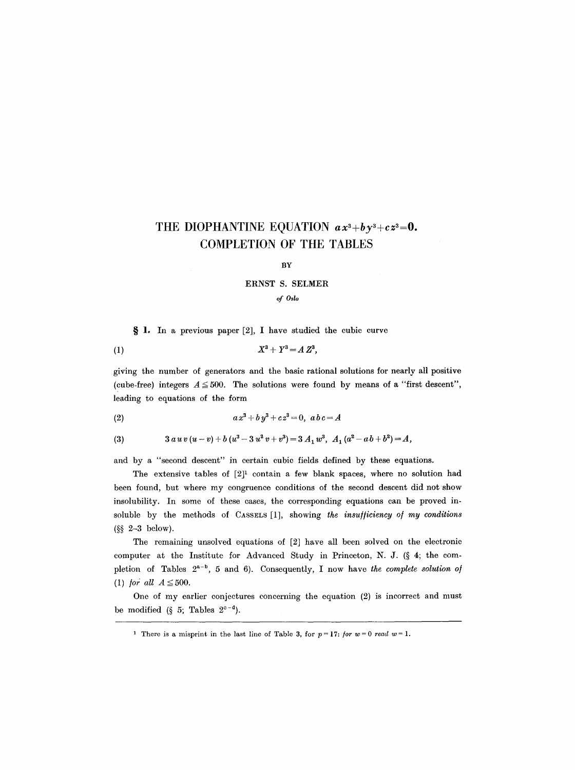## THE DIOPHANTINE EQUATION  $ax^3 + by^3 + cz^3 = 0$ . **COMPLETION OF THE TABLES**

### BY

#### ERNST S. SELMER

#### *of Oslo*

 $\S$  1. In a previous paper [2], I have studied the cubic curve

$$
(1) \t\t\t X^3 + Y^3 = A Z^3,
$$

giving the number of generators and the basic rational solutions for nearly all positive (cube-free) integers  $A \leq 500$ . The solutions were found by means of a "first descent", leading to equations of the form

(2) 
$$
ax^3 + by^3 + cz^3 = 0, abc = A
$$

(3) 
$$
3 a u v (u - v) + b (u3 - 3 u2 v + v3) = 3 A1 u3, A1 (a2 - a b + b2) = A,
$$

and by a "second descent" in certain cubic fields defined by these equations.

The extensive tables of  $[2]^1$  contain a few blank spaces, where no solution had been found, but where my congruence conditions of the second descent did not show insolubility. In some of these cases, the corresponding equations can be proved insoluble by the methods of CASSELS [1], showing *the insu//iciency o/ my conditions*   $(S<sub>S</sub> 2-3$  below).

The remaining unsolved equations of [2] have all been solved on the electronic computer at the Institute for Advanced Study in Princeton, N. J. ( $\S$  4; the completion of Tables  $2^{a-b}$ , 5 and 6). Consequently, I now have the complete solution of (1) *for all*  $A \leq 500$ .

One of my earlier conjectures concerning the equation (2) is incorrect and must be modified (§ 5; Tables  $2^{c-d}$ ).

<sup>&</sup>lt;sup>1</sup> There is a misprint in the last line of Table 3, for  $p=17$ : *for w*=0 *read w*=1.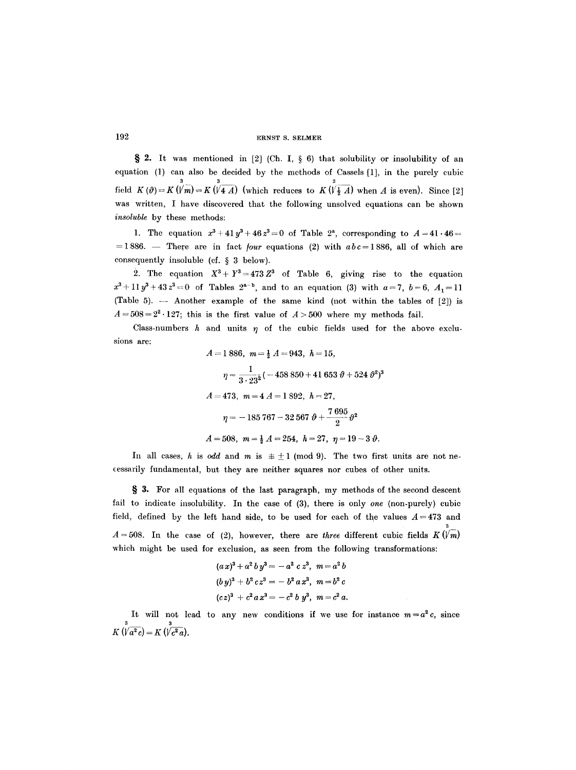#### 192 ERNST S, SELMER

§ 2. It was mentioned in [2] (Ch. I, § 6) that solubility or insolubility of an equation (1) can also be decided by the methods of Cassels [1], in the purely cubic 3 3 3 field K  $(\vartheta) = K(Vm) = K(V4 A)$  (which reduces to  $K(V\frac{1}{2} A)$  when A is even). Since [2] was written, I have discovered that the following unsolved equations can be shown *insoluble* by these methods:

1. The equation  $x^3 + 41y^3 + 46z^3 = 0$  of Table 2<sup>3</sup>, corresponding to  $A = 41.46 =$  $=1886.$  -- There are in fact *four* equations (2) with  $abc=1886$ , all of which are consequently insoluble (cf.  $\S$  3 below).

2. The equation  $X^3 + Y^3 = 473 Z^3$  of Table 6, giving rise to the equation  $x^3+11y^3+43z^3=0$  of Tables  $2^{a-b}$ , and to an equation (3) with  $a=7$ ,  $b=6$ ,  $A_1=11$ (Table 5).  $-$  Another example of the same kind (not within the tables of  $[2]$ ) is  $A=508=2^2\cdot 127$ ; this is the first value of  $A>500$  where my methods fail.

Class-numbers  $h$  and units  $\eta$  of the cubic fields used for the above exclusions are:

$$
A = 1886, \quad m = \frac{1}{2} A = 943, \quad h = 15,
$$
\n
$$
\eta = \frac{1}{3 \cdot 23^2} (-458850 + 41653 \theta + 524 \theta^2)^3
$$
\n
$$
A = 473, \quad m = 4 A = 1892, \quad h = 27,
$$
\n
$$
\eta = -185767 - 32567 \theta + \frac{7695}{2} \theta^2
$$
\n
$$
A = 508, \quad m = \frac{1}{2} A = 254, \quad h = 27, \quad \eta = 19 - 3 \theta.
$$

In all cases, h is odd and m is  $\pm \pm 1$  (mod 9). The two first units are not necessarily fundamental, but they are neither squares nor cubes of other units.

S. 3. For all equations of the last paragraph, my methods of the second descent fail to indicate insolubility. In the case of (3), there is only *one* (non-purely) cubic field, defined by the left hand side, to be used for each of the values  $A = 473$  and 3  $A = 508$ . In the case of (2), however, there are *three* different cubic fields  $K(\sqrt{m})$ which might be used for exclusion, as seen from the following transformations:

$$
(a x)3 + a2 b y3 = - a2 c z3, m = a2 b
$$
  
\n
$$
(b y)3 + b2 c z3 = - b2 a x3, m = b2 c
$$
  
\n
$$
(c z)3 + c2 a x3 = - c2 b y3, m = c2 a.
$$

It will not lead to any new conditions if we use for instance  $m=a^2c$ , since 3 3  $K \vee a^{\ast} c = K$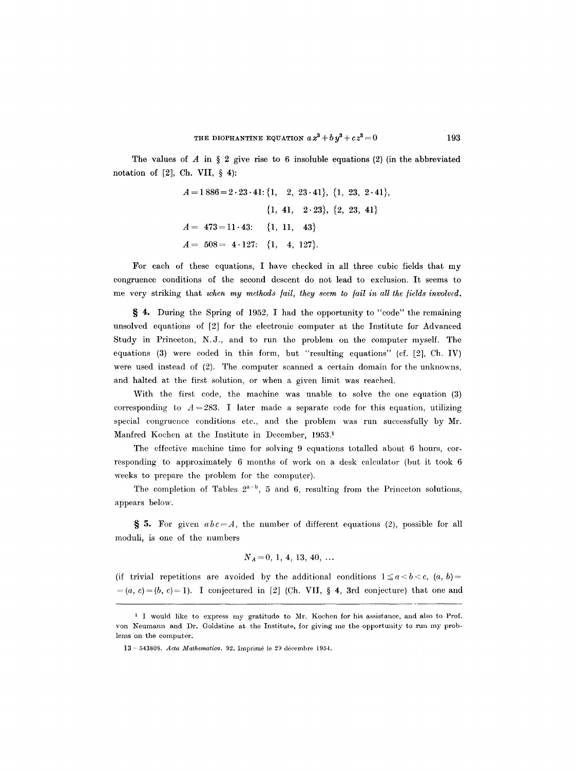The values of  $A$  in  $\S 2$  give rise to  $6$  insoluble equations (2) (in the abbreviated notation of [2], Ch. VII, § 4):

$$
A = 1886 = 2 \cdot 23 \cdot 41; \{1, 2, 23 \cdot 41\}, \{1, 23, 2 \cdot 41\}, \n{1, 41, 2 \cdot 23}, \{2, 23, 41\} \nA = 473 = 11 \cdot 43; \{1, 11, 43\} \nA = 508 = 4 \cdot 127; \{1, 4, 127\}.
$$

For each of these equations, I have checked in all three cubic fields that my congruence conditions of the second descent do not lead to exclusion. It seems to me very striking that *when my methods fail, they seem to fail in all the fields involved.* 

§ 4. During the Spring of 1952, I had the opportunity to "code" the remaining unsolved equations of [2] for the electronic computer at the Institute for Advanced Study in Princeton, N.J., and to run the problem on the computer myself. The equations (3) were coded in this form, but "resulting equations" (cf. [2], Ch. IV) were used instead of (2). The computer scanned a certain domain for the unknowns, and halted at the first solution, or when a given limit was reached.

With the first code, the machine was unable to solve the one equation (3) corresponding to  $A = 283$ . I later made a separate code for this equation, utilizing special congruence conditions etc., and the problem was run successfully by Mr. Manfred Kochen at the Institute in December, 1953.1

The effective machine time for solving 9 equations totalled about 6 hours, corresponding to approximately 6 months of work on a desk calculator (but it took 6 weeks to prepare the problem for the computer).

The completion of Tables  $2^{a-b}$ , 5 and 6, resulting from the Princeton solutions, appears below.

§ 5. For given  $abc = A$ , the number of different equations (2), possible for all moduli, is one of the numbers

$$
N_A=0, 1, 4, 13, 40, \ldots
$$

(if trivial repetitions are avoided by the additional conditions  $1 \le a < b < c$ ,  $(a, b) = a$  $=(a, c)=(b, c)=1$ ). I conjectured in [2] (Ch. VII, § 4, 3rd conjecture) that one and

<sup>1</sup> I would like to express my gratitudo to Mr. Koehen for his assistance, and also to Prof. yon Neumann and Dr. Goldstine at the Institute, for giving me the opportunity to run my problems on the computer.

<sup>13- 543808.</sup> *Acta Mathematica*. 92. Imprimé le 29 décembre 1954.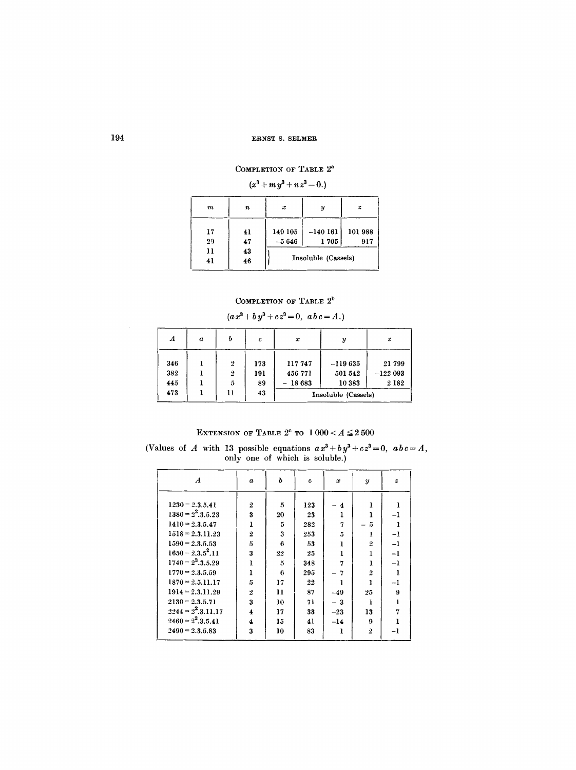## COMPLETION OF TABLE  $2^{\rm a}$

| $(x^3 + m y^3 + n z^3 = 0.)$ |          |                    |                     |                  |  |  |
|------------------------------|----------|--------------------|---------------------|------------------|--|--|
| m                            | n        | x                  | y                   | $\boldsymbol{z}$ |  |  |
| 17<br>29                     | 41<br>47 | 149 105<br>$-5646$ | $-140161$<br>1705   | 101988<br>917    |  |  |
| 11<br>41                     | 43<br>46 |                    | Insoluble (Cassels) |                  |  |  |

## COMPLETION OF TABLE  $2^{\mathrm{b}}$

## $(a x^3 + b y^3 + c z^3 = 0, a b c = A.)$

| А   | $\boldsymbol{a}$ |                  | c   | x        | у                   | $\boldsymbol{z}$ |
|-----|------------------|------------------|-----|----------|---------------------|------------------|
| 346 |                  | $\boldsymbol{2}$ | 173 | 117747   | $-119635$           | 21799            |
| 382 |                  | $\overline{2}$   | 191 | 456 771  | 501 542             | $-122093$        |
| 445 |                  | 5                | 89  | $-18683$ | 10383               | 2 1 8 2          |
| 473 |                  | Ħ                | 43  |          | Insoluble (Cassels) |                  |

EXTENSION OF TABLE  $2^c$  to  $1\,000 < A \le 2\,500$ (Values of A with 13 possible equations  $ax^3 + by^3 + cz^3 = 0$ ,  $abc = A$ , only one of which is soluble.)

| $\boldsymbol{A}$                                                  | $\boldsymbol{a}$    | b        | c             | $\boldsymbol{x}$             | $\boldsymbol{y}$    | $\boldsymbol{z}$ |
|-------------------------------------------------------------------|---------------------|----------|---------------|------------------------------|---------------------|------------------|
| $1230 = 2.3.5.41$<br>$1380 = 2^2$ , 3, 5, 23                      | $\overline{2}$<br>3 | 5<br>20  | 123<br>23     | $\overline{\mathbf{4}}$<br>ı |                     | -1               |
| $1410 = 2.3.5.47$<br>$1518 = 2.3.11.23$                           | ı<br>$\overline{2}$ | 5<br>3   | 282           | 7                            | $\tilde{5}$         |                  |
| $1590 = 2.3.5.53$                                                 | 5                   | 6        | 253<br>53     | 5<br>ı                       | $\overline{2}$      | $-1$<br>$-1$     |
| $1650 = 2.3.5^{2}.11$<br>$1740 = 2^2 \cdot 3 \cdot 5 \cdot 29$    | 3<br>ı              | 22<br>5  | 25<br>348     | ı<br>7                       |                     | $-1$<br>$-1$     |
| $1770 = 2.3.5.59$<br>$1870 = 2.5.11.17$                           | I<br>5              | 6<br>17  | 295<br>$22\,$ | 7<br>1                       | $\overline{2}$<br>ı | -1               |
| $1914 = 2,3,11,29$<br>$2130 = 2.3.5.71$                           | $\overline{2}$<br>3 | 11<br>10 | 87<br>71      | $-49$<br>$-3$                | 25                  | 9<br>Ŧ           |
| $2244 = 2^2 \cdot 3 \cdot 11 \cdot 17$<br>$2460 = 2^2$ , 3, 5, 41 | $\ddot{4}$<br>4     | 17<br>15 | 33<br>41      | $-23$<br>$-14$               | 13<br>9             | 7                |
| $2490 = 2.3.5.83$                                                 | 3                   | 10       | 83            | ı                            | $\overline{2}$      | -1               |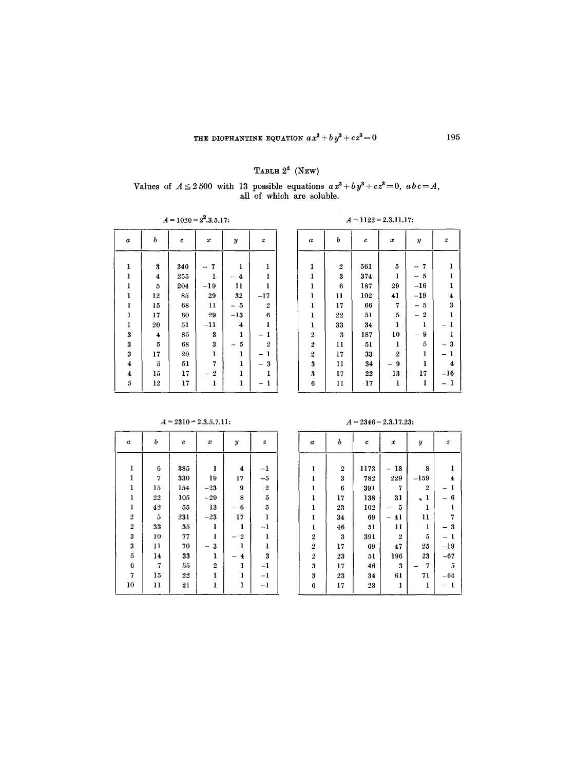## TABLE  $2^d$  (NEW)

Values of  $A \leq 2500$  with 13 possible equations  $ax^3 + by^2 + cz^2 = 0$ ,  $abc = A$ , all of which are soluble.

| $A = 1020 = 2^2.3.5.17$ |                  |     |                  |              |                  |  |
|-------------------------|------------------|-----|------------------|--------------|------------------|--|
| $\boldsymbol{a}$        | ь                | c   | x                | Y            | $\boldsymbol{z}$ |  |
|                         |                  |     |                  |              |                  |  |
| 1                       | 3                | 340 | 7                | ı            | ı                |  |
| 1                       | 4                | 255 | ı                | 4            | ı                |  |
| 1                       | $\overline{5}$   | 204 | $-19$            | 11           | ı                |  |
| ı                       | 12               | 85  | 29               | 32           | $-17$            |  |
| ı                       | 15               | 68  | 11               | 5            | $\boldsymbol{2}$ |  |
| 1                       | 17               | 60  | 29               | $-13$        | 6                |  |
| 1                       | 20               | 51  | $-11$            | 4            | ı                |  |
| 3                       | $\boldsymbol{4}$ | 85  | 3                | ı            | 1                |  |
| 3                       | $\bf 5$          | 68  | 3                | 5            | 2                |  |
| $\bf{3}$                | 17               | 20  | $\mathbf{l}$     | $\mathbf{l}$ | ı                |  |
| $\boldsymbol{4}$        | 5                | 51  | 7                | ı            | 3                |  |
| $\boldsymbol{4}$        | 15               | 17  | $\boldsymbol{2}$ | ı            | ı                |  |
| 5                       | 12               | 17  | ı                | l            | ı                |  |
|                         |                  |     |                  |              |                  |  |

 $b$  do  $x$  a  $y$   $z$  c  $a$  b  $c$   $x$   $y$   $z$   $-9$  -7  $-5$ -16 -19  $-5$  $-2$  -9 **- 1**  -3 -1 -16 **- 1** 

 $A = 1122 = 2.3.11.17$ :

| $\boldsymbol{a}$   | ь              | c         | x                | $\boldsymbol{y}$        | $\boldsymbol{z}$        |
|--------------------|----------------|-----------|------------------|-------------------------|-------------------------|
|                    |                |           |                  |                         |                         |
| ı                  | 6              | 385       | ı                | 4                       | -1                      |
| ı                  | 7              | 330       | 19               | 17                      | $-5$                    |
| $\mathbf 1$        | 15             | 154       | $-23$            | 9                       | $\overline{\mathbf{2}}$ |
| $\mathbf{I}$       | 22             | 105       | $-29$            | 8                       | $\tilde{\text{o}}$      |
| ı                  | 42             | 55        | 13               | 6                       | $\overline{5}$          |
| $\,2$              | $\overline{5}$ | 231       | $-23$            | 17                      | $\mathbf{l}$            |
| $\overline{\bf 2}$ | 33             | 35        | ı                | l                       | $-1$                    |
| $\bf{3}$           | 10             | 77        | ı                | $\overline{\mathbf{2}}$ | ı                       |
| $\frac{3}{5}$      | 11             | 70        | 3                | ı                       | l                       |
|                    | 14             | 33        | ı                | 4                       | 3                       |
| 6                  | 7              | 55        | $\boldsymbol{2}$ | ı                       | $-1$                    |
| $\overline{7}$     | 15             | 22        | $\mathbf{I}$     | ı                       | $-1$                    |
| 10                 | 11             | $\bf{21}$ | l                | ı                       | $-1$                    |
|                    |                |           |                  |                         |                         |

 $A = 2310 = 2.3.5.7.11:$ 

 $A = 2346 = 2.3.17.23$ :

| $\boldsymbol{a}$        | ь  | $\boldsymbol{c}$ | x                | y              | $\boldsymbol{z}$ |
|-------------------------|----|------------------|------------------|----------------|------------------|
| $\mathbf{I}$            | 2  | 1173             | 13               | 8              | 1                |
| ı                       | 3  | 782              | 229              | $-159$         | 4                |
| ı                       | 6  | 391              | 7                | $\overline{2}$ | 1                |
| 1                       | 17 | 138              | 31               | ı              | 6                |
| ı                       | 23 | 102              | 5                | ı              | ı                |
| ı                       | 34 | 69               | 41               | 11             | 7                |
| $\mathbf{l}$            | 46 | 51               | 11               | ı              | $\boldsymbol{3}$ |
| $\boldsymbol{2}$        | 3  | 391              | $\boldsymbol{2}$ | $\overline{5}$ | $\mathbf{1}$     |
| $\boldsymbol{2}$        | 17 | 69               | 47               | 25             | $^{-19}$         |
| $\overline{\mathbf{2}}$ | 23 | 51               | 196              | 23             | $-67$            |
| 3                       | 17 | 46               | 3                | 7              | 5                |
| 3                       | 23 | 34               | 61               | 71             | $-64$            |
| 6                       | 17 | 23               | 1                | ı              |                  |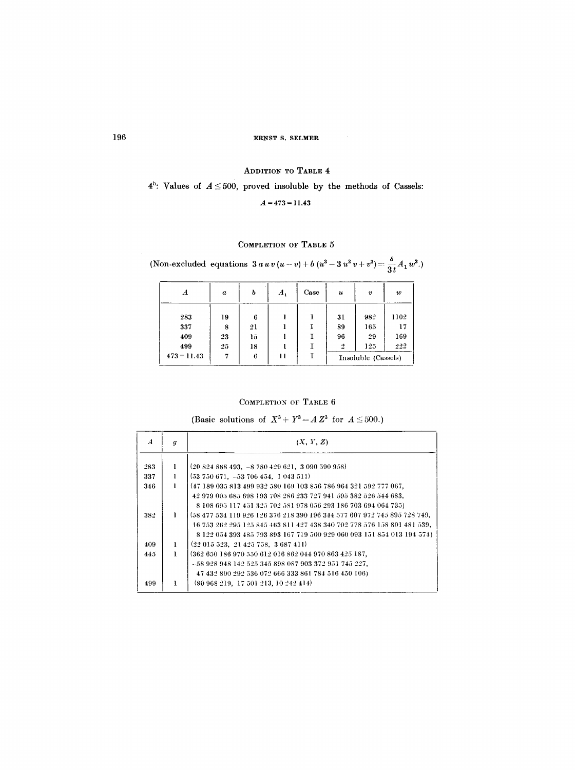ADDITION TO TABLE 4

# $4<sup>h</sup>$ : Values of  $A \le 500$ , proved insoluble by the methods of Cassels:

## $A = 473 = 11.43$

## COMPLETION OF TABLE 5

# (Non-excluded equations  $3 a u v (u - v) + b (u^3 - 3 u^2 v + v^3) = \frac{s}{3t} A_1 w^3$ .)

| A             | $\boldsymbol{a}$ | ь  | $A_{1}$ | Case | $\boldsymbol{u}$ | $\boldsymbol{v}$    | $\boldsymbol{w}$ |
|---------------|------------------|----|---------|------|------------------|---------------------|------------------|
| 283           | 19               | 6  |         |      | 31               | 982                 | 1102             |
| 337           | 8                | 21 |         |      | 89               | 165                 | 17               |
| 409           | 23               | 15 |         |      | 96               | 29                  | 169              |
| 499           | 25               | 18 |         |      | $\overline{2}$   | 125                 | 222              |
| $473 = 11.43$ | 7                | 6  | 11      |      |                  | Insoluble (Cassels) |                  |

## COMPLETION OF TABLE  $6$

(Basic solutions of  $X^3 + Y^3 = A Z^3$  for  $A \leq 500$ .)

| $\boldsymbol{A}$ | q | (X, Y, Z)                                                                |
|------------------|---|--------------------------------------------------------------------------|
|                  |   |                                                                          |
| 283              |   | $(20824888493, -8780429621, 3090590958)$                                 |
| 337              |   | $(53750671, -53706454, 1043511)$                                         |
| 346              | ı | (47 189 035 813 499 932 580 169 103 856 786 964 321 592 777 067,         |
|                  |   | 42 979 005 685 698 193 708 286 233 727 941 595 382 526 544 683,          |
|                  |   | 8 108 695 117 451 325 702 581 978 056 293 186 703 694 064 735)           |
| 382              | ı | (58 477 534 119 926 126 376 218 390 196 344 577 607 972 745 895 728 749, |
|                  |   | 16 753 262 295 125 845 463 811 427 438 340 702 778 576 158 801 481 539,  |
|                  |   | 8 122 054 393 485 793 893 167 719 500 929 060 093 151 854 013 194 574)   |
| 409              | 1 | $(22\;015\;523, 21\;425\;758, 3\;687\;411)$                              |
| 445              | ı | (362 650 186 970 550 612 016 862 044 970 863 425 187,                    |
|                  |   | - 58 928 948 142 525 345 898 087 903 372 951 745 227,                    |
|                  |   | 47 432 800 292 536 072 666 333 861 784 516 450 106)                      |
| 499              | T | (80968219, 17501213, 10242414)                                           |
|                  |   |                                                                          |